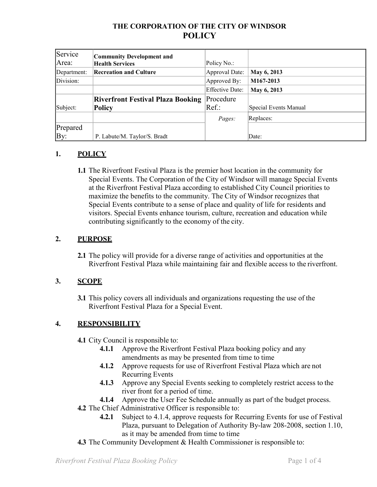# **THE CORPORATION OF THE CITY OF WINDSOR POLICY**

| Service     | <b>Community Development and</b>         |                 |                       |
|-------------|------------------------------------------|-----------------|-----------------------|
| Area:       | <b>Health Services</b>                   | Policy No.:     |                       |
| Department: | <b>Recreation and Culture</b>            | Approval Date:  | May 6, 2013           |
| Division:   |                                          | Approved By:    | M167-2013             |
|             |                                          | Effective Date: | May 6, 2013           |
|             | <b>Riverfront Festival Plaza Booking</b> | Procedure       |                       |
| Subject:    | <b>Policy</b>                            | Ref.:           | Special Events Manual |
|             |                                          | Pages:          | Replaces:             |
| Prepared    |                                          |                 |                       |
| By:         | P. Labute/M. Taylor/S. Bradt             |                 | Date:                 |

# **1. POLICY**

**1.1** The Riverfront Festival Plaza is the premier host location in the community for Special Events. The Corporation of the City of Windsor will manage Special Events at the Riverfront Festival Plaza according to established City Council priorities to maximize the benefits to the community. The City of Windsor recognizes that Special Events contribute to a sense of place and quality of life for residents and visitors. Special Events enhance tourism, culture, recreation and education while contributing significantly to the economy of the city.

# **2. PURPOSE**

**2.1** The policy will provide for a diverse range of activities and opportunities at the Riverfront Festival Plaza while maintaining fair and flexible access to the riverfront.

#### **3. SCOPE**

**3.1** This policy covers all individuals and organizations requesting the use of the Riverfront Festival Plaza for a Special Event.

# **4. RESPONSIBILITY**

- **4.1** City Council is responsible to:
	- **4.1.1** Approve the Riverfront Festival Plaza booking policy and any amendments as may be presented from time to time
	- **4.1.2** Approve requests for use of Riverfront Festival Plaza which are not Recurring Events
	- **4.1.3** Approve any Special Events seeking to completely restrict access to the river front for a period of time.
	- **4.1.4** Approve the User Fee Schedule annually as part of the budget process.
- **4.2** The Chief Administrative Officer is responsible to:
	- **4.2.1** Subject to 4.1.4, approve requests for Recurring Events for use of Festival Plaza, pursuant to Delegation of Authority By-law 208-2008, section 1.10, as it may be amended from time to time
- **4.3** The Community Development & Health Commissioner is responsible to: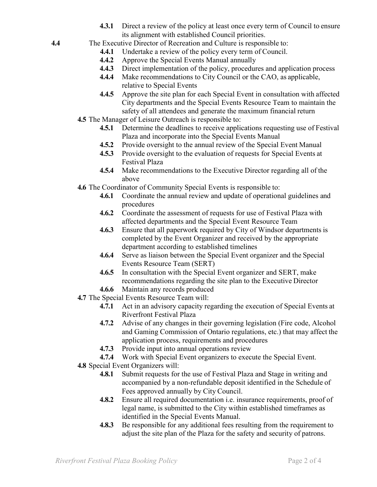- **4.3.1** Direct a review of the policy at least once every term of Council to ensure its alignment with established Council priorities.
- **4.4** The Executive Director of Recreation and Culture is responsible to:
	- **4.4.1** Undertake a review of the policy every term of Council.
	- **4.4.2** Approve the Special Events Manual annually
	- **4.4.3** Direct implementation of the policy, procedures and application process
	- **4.4.4** Make recommendations to City Council or the CAO, as applicable, relative to Special Events
	- **4.4.5** Approve the site plan for each Special Event in consultation with affected City departments and the Special Events Resource Team to maintain the safety of all attendees and generate the maximum financial return
	- **4.5** The Manager of Leisure Outreach is responsible to:
		- **4.5.1** Determine the deadlines to receive applications requesting use of Festival Plaza and incorporate into the Special Events Manual
		- **4.5.2** Provide oversight to the annual review of the Special Event Manual
		- **4.5.3** Provide oversight to the evaluation of requests for Special Events at Festival Plaza
		- **4.5.4** Make recommendations to the Executive Director regarding all of the above
	- **4.6** The Coordinator of Community Special Events is responsible to:
		- **4.6.1** Coordinate the annual review and update of operational guidelines and procedures
		- **4.6.2** Coordinate the assessment of requests for use of Festival Plaza with affected departments and the Special Event Resource Team
		- **4.6.3** Ensure that all paperwork required by City of Windsor departments is completed by the Event Organizer and received by the appropriate department according to established timelines
		- **4.6.4** Serve as liaison between the Special Event organizer and the Special Events Resource Team (SERT)
		- **4.6.5** In consultation with the Special Event organizer and SERT, make recommendations regarding the site plan to the Executive Director
		- **4.6.6** Maintain any records produced
	- **4.7** The Special Events Resource Team will:
		- **4.7.1** Act in an advisory capacity regarding the execution of Special Events at Riverfront Festival Plaza
		- **4.7.2** Advise of any changes in their governing legislation (Fire code, Alcohol and Gaming Commission of Ontario regulations, etc.) that may affect the application process, requirements and procedures
		- **4.7.3** Provide input into annual operations review
		- **4.7.4** Work with Special Event organizers to execute the Special Event.
	- **4.8** Special Event Organizers will:
		- **4.8.1** Submit requests for the use of Festival Plaza and Stage in writing and accompanied by a non-refundable deposit identified in the Schedule of Fees approved annually by City Council.
		- **4.8.2** Ensure all required documentation i.e. insurance requirements, proof of legal name, is submitted to the City within established timeframes as identified in the Special Events Manual.
		- **4.8.3** Be responsible for any additional fees resulting from the requirement to adjust the site plan of the Plaza for the safety and security of patrons.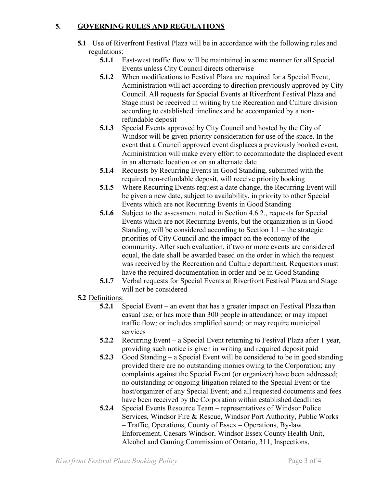## **5. GOVERNING RULES AND REGULATIONS**

- **5.1** Use of Riverfront Festival Plaza will be in accordance with the following rules and regulations:
	- **5.1.1** East-west traffic flow will be maintained in some manner for all Special Events unless City Council directs otherwise
	- **5.1.2** When modifications to Festival Plaza are required for a Special Event, Administration will act according to direction previously approved by City Council. All requests for Special Events at Riverfront Festival Plaza and Stage must be received in writing by the Recreation and Culture division according to established timelines and be accompanied by a nonrefundable deposit
	- **5.1.3** Special Events approved by City Council and hosted by the City of Windsor will be given priority consideration for use of the space. In the event that a Council approved event displaces a previously booked event, Administration will make every effort to accommodate the displaced event in an alternate location or on an alternate date
	- **5.1.4** Requests by Recurring Events in Good Standing, submitted with the required non-refundable deposit, will receive priority booking
	- **5.1.5** Where Recurring Events request a date change, the Recurring Event will be given a new date, subject to availability, in priority to other Special Events which are not Recurring Events in Good Standing
	- **5.1.6** Subject to the assessment noted in Section 4.6.2., requests for Special Events which are not Recurring Events, but the organization is in Good Standing, will be considered according to Section 1.1 – the strategic priorities of City Council and the impact on the economy of the community. After such evaluation, if two or more events are considered equal, the date shall be awarded based on the order in which the request was received by the Recreation and Culture department. Requestors must have the required documentation in order and be in Good Standing
	- **5.1.7** Verbal requests for Special Events at Riverfront Festival Plaza and Stage will not be considered

#### **5.2** Definitions:

- **5.2.1** Special Event an event that has a greater impact on Festival Plaza than casual use; or has more than 300 people in attendance; or may impact traffic flow; or includes amplified sound; or may require municipal services
- **5.2.2** Recurring Event a Special Event returning to Festival Plaza after 1 year, providing such notice is given in writing and required deposit paid
- **5.2.3** Good Standing a Special Event will be considered to be in good standing provided there are no outstanding monies owing to the Corporation; any complaints against the Special Event (or organizer) have been addressed; no outstanding or ongoing litigation related to the Special Event or the host/organizer of any Special Event; and all requested documents and fees have been received by the Corporation within established deadlines
- **5.2.4** Special Events Resource Team representatives of Windsor Police Services, Windsor Fire & Rescue, Windsor Port Authority, Public Works – Traffic, Operations, County of Essex – Operations, By-law Enforcement, Caesars Windsor, Windsor Essex County Health Unit, Alcohol and Gaming Commission of Ontario, 311, Inspections,